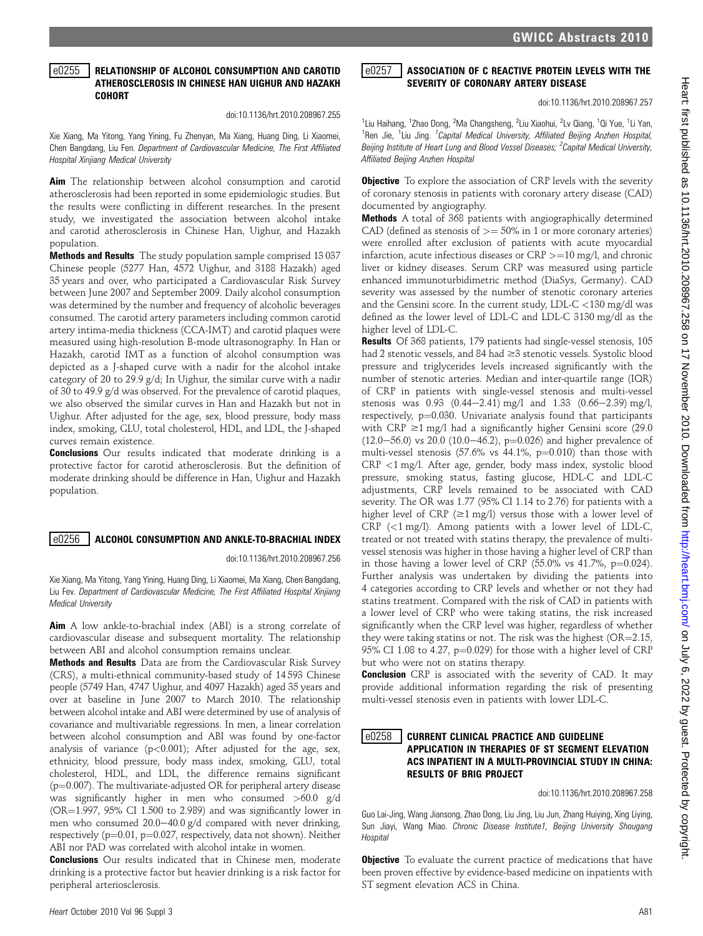### e0255 RELATIONSHIP OF ALCOHOL CONSUMPTION AND CAROTID ATHEROSCLEROSIS IN CHINESE HAN UIGHUR AND HAZAKH COHORT

#### doi:10.1136/hrt.2010.208967.255

Xie Xiang, Ma Yitong, Yang Yining, Fu Zhenyan, Ma Xiang, Huang Ding, Li Xiaomei, Chen Bangdang, Liu Fen. Department of Cardiovascular Medicine, The First Affiliated Hospital Xinjiang Medical University

Aim The relationship between alcohol consumption and carotid atherosclerosis had been reported in some epidemiologic studies. But the results were conflicting in different researches. In the present study, we investigated the association between alcohol intake and carotid atherosclerosis in Chinese Han, Uighur, and Hazakh population.

Methods and Results The study population sample comprised 13 037 Chinese people (5277 Han, 4572 Uighur, and 3188 Hazakh) aged 35 years and over, who participated a Cardiovascular Risk Survey between June 2007 and September 2009. Daily alcohol consumption was determined by the number and frequency of alcoholic beverages consumed. The carotid artery parameters including common carotid artery intima-media thickness (CCA-IMT) and carotid plaques were measured using high-resolution B-mode ultrasonography. In Han or Hazakh, carotid IMT as a function of alcohol consumption was depicted as a J-shaped curve with a nadir for the alcohol intake category of 20 to 29.9 g/d; In Uighur, the similar curve with a nadir of 30 to 49.9 g/d was observed. For the prevalence of carotid plaques, we also observed the similar curves in Han and Hazakh but not in Uighur. After adjusted for the age, sex, blood pressure, body mass index, smoking, GLU, total cholesterol, HDL, and LDL, the J-shaped curves remain existence.

**Conclusions** Our results indicated that moderate drinking is a protective factor for carotid atherosclerosis. But the definition of moderate drinking should be difference in Han, Uighur and Hazakh population.

# **e0256 ALCOHOL CONSUMPTION AND ANKLE-TO-BRACHIAL INDEX**

doi:10.1136/hrt.2010.208967.256

Xie Xiang, Ma Yitong, Yang Yining, Huang Ding, Li Xiaomei, Ma Xiang, Chen Bangdang, Liu Fev. Department of Cardiovascular Medicine, The First Affiliated Hospital Xinjiang Medical University

**Aim** A low ankle-to-brachial index (ABI) is a strong correlate of cardiovascular disease and subsequent mortality. The relationship between ABI and alcohol consumption remains unclear.

Methods and Results Data are from the Cardiovascular Risk Survey (CRS), a multi-ethnical community-based study of 14 593 Chinese people (5749 Han, 4747 Uighur, and 4097 Hazakh) aged 35 years and over at baseline in June 2007 to March 2010. The relationship between alcohol intake and ABI were determined by use of analysis of covariance and multivariable regressions. In men, a linear correlation between alcohol consumption and ABI was found by one-factor analysis of variance  $(p<0.001)$ ; After adjusted for the age, sex, ethnicity, blood pressure, body mass index, smoking, GLU, total cholesterol, HDL, and LDL, the difference remains significant  $(p=0.007)$ . The multivariate-adjusted OR for peripheral artery disease was significantly higher in men who consumed >60.0 g/d  $(OR=1.997, 95\% \text{ CI } 1.500 \text{ to } 2.989)$  and was significantly lower in men who consumed  $20.0-40.0$  g/d compared with never drinking, respectively ( $p=0.01$ ,  $p=0.027$ , respectively, data not shown). Neither ABI nor PAD was correlated with alcohol intake in women.

Conclusions Our results indicated that in Chinese men, moderate drinking is a protective factor but heavier drinking is a risk factor for peripheral arteriosclerosis.

doi:10.1136/hrt.2010.208967.257

<sup>1</sup>Liu Haihang, <sup>1</sup>Zhao Dong, <sup>2</sup>Ma Changsheng, <sup>2</sup>Liu Xiaohui, <sup>2</sup>Lv Qiang, <sup>1</sup>Qi Yue, <sup>1</sup>Li Yan, <sup>1</sup>Ren Jie, <sup>1</sup>Liu Jing. <sup>1</sup>Capital Medical University, Affiliated Beijing Anzhen Hospital, Beijing Institute of Heart Lung and Blood Vessel Diseases; <sup>2</sup>Capital Medical University, Affiliated Beijing Anzhen Hospital

**Objective** To explore the association of CRP levels with the severity of coronary stenosis in patients with coronary artery disease (CAD) documented by angiography.

Methods A total of 368 patients with angiographically determined CAD (defined as stenosis of  $\geq$  = 50% in 1 or more coronary arteries) were enrolled after exclusion of patients with acute myocardial infarction, acute infectious diseases or  $CRP > = 10$  mg/l, and chronic liver or kidney diseases. Serum CRP was measured using particle enhanced immunoturbidimetric method (DiaSys, Germany). CAD severity was assessed by the number of stenotic coronary arteries and the Gensini score. In the current study, LDL-C <130 mg/dl was defined as the lower level of LDL-C and LDL-C 3130 mg/dl as the higher level of LDL-C.

Results Of 368 patients, 179 patients had single-vessel stenosis, 105 had 2 stenotic vessels, and 84 had  $\geq$ 3 stenotic vessels. Systolic blood pressure and triglycerides levels increased significantly with the number of stenotic arteries. Median and inter-quartile range (IQR) of CRP in patients with single-vessel stenosis and multi-vessel stenosis was  $0.93$   $(0.44-2.41)$  mg/l and  $1.33$   $(0.66-2.39)$  mg/l, respectively,  $p=0.030$ . Univariate analysis found that participants with  $CRP \ge 1$  mg/l had a significantly higher Gensini score (29.0)  $(12.0-56.0)$  vs 20.0  $(10.0-46.2)$ , p=0.026) and higher prevalence of multi-vessel stenosis (57.6% vs  $44.1\%$ ,  $p=0.010$ ) than those with CRP <1 mg/l. After age, gender, body mass index, systolic blood pressure, smoking status, fasting glucose, HDL-C and LDL-C adjustments, CRP levels remained to be associated with CAD severity. The OR was 1.77 (95% CI 1.14 to 2.76) for patients with a higher level of CRP ( $\geq$ 1 mg/l) versus those with a lower level of CRP  $\langle$  ( $\langle$ 1 mg/l). Among patients with a lower level of LDL-C, treated or not treated with statins therapy, the prevalence of multivessel stenosis was higher in those having a higher level of CRP than in those having a lower level of CRP  $(55.0\% \text{ vs } 41.7\%, \text{ p} = 0.024)$ . Further analysis was undertaken by dividing the patients into 4 categories according to CRP levels and whether or not they had statins treatment. Compared with the risk of CAD in patients with a lower level of CRP who were taking statins, the risk increased significantly when the CRP level was higher, regardless of whether they were taking statins or not. The risk was the highest ( $OR = 2.15$ , 95% CI 1.08 to 4.27, p=0.029) for those with a higher level of CRP but who were not on statins therapy.

**Conclusion** CRP is associated with the severity of CAD. It may provide additional information regarding the risk of presenting multi-vessel stenosis even in patients with lower LDL-C.

### $\mid$ e0258  $\mid$  current clinical practice and guideline APPLICATION IN THERAPIES OF ST SEGMENT ELEVATION ACS INPATIENT IN A MULTI-PROVINCIAL STUDY IN CHINA: RESULTS OF BRIG PROJECT

doi:10.1136/hrt.2010.208967.258

Guo Lai-Jing, Wang Jiansong, Zhao Dong, Liu Jing, Liu Jun, Zhang Huiying, Xing Liying, Sun Jiayi, Wang Miao. Chronic Disease Institute1, Beijing University Shougang **Hospital** 

**Objective** To evaluate the current practice of medications that have been proven effective by evidence-based medicine on inpatients with ST segment elevation ACS in China.